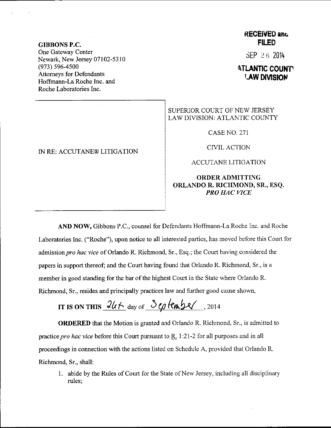### GIBBONS P.C. One Gateway Center Newark, New Jersey 07102-5310 (973) 596-4s00 Attorneys for Defendants Hoffmann-La Roche Inc. and Roche Laboratories Inc.

#### IN RE: ACCUTANE@ LITIGATION

## RECENED and **FILED**

 $SEP 26 2014$ 

# **ATLANTIC COUNTY LAW DIVISION**

## SUPERIOR COURT OF NEW JERSEY LAW DIVISION: ATLANTIC COUNTY

CASE NO, 271

CIVIL ACTION

ACCUTANE LITIGATION

### ORDERADMITTING ORLANDO R. RICHMOND, SR., ESQ. PRO HAC VICE

AND NOW, Gibbons P.C., counsel for Defendants Hoffmann-La Roche Inc. and Roche Laboratories Inc. ("Roche"), upon notice to all interested parties, has moved before this Court for admission pro hac vice of Orlando R. Richmond, Sr., Esq.; the Court having considered the papers in support thereof; and the Court having found that Orlando R. Richmond, Sr., is a member in good standing for the bar of the highest Court in the State where Orlando R. fuchmond, Sr., resides and principally practices law and further good cause shown,

IT IS ON THIS  $\frac{2l(t)}{dt}$  day of  $\frac{S_{\ell} q}{m}$  (em y eq. .zot4

ORDERED that the Motion is granted and Orlando R. Richmond, Sr.. is admitted to practice pro hac vice before this Court pursuant to  $\underline{R}$ . 1:21-2 for all purposes and in all proceedings in connection with the actions listed on Schedule A, provided that Orlando R. Richmond, Sr., shall:

1. abide by the Rules of Court for the State of New Jersey, including all disciplinary rules;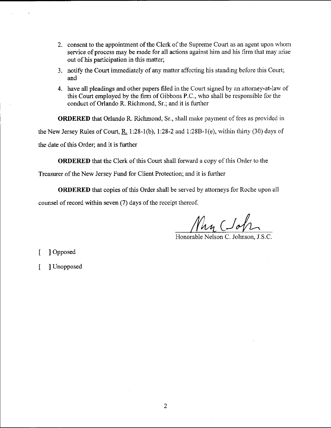- 2. consent to the appointment of the Clerk of the Supreme Court as an agent upon whom service of process may be made for all actions against him and his firm that may arise out of his participation in this matter;
- 3. notify the Court immediately of any matter affecting his standing before this Court; and
- 4. have all pleadings and other papers filed in the Court signed by an attorney-at-law of this Court employed by the firm of Gibbons P.C., who shall be responsible for the conduct of Orlando R. Richmond, Sr.; and it is further

ORDERED that Orlando R. Richmond, Sr., shall make payment of fees as provided in the New Jersey Rules of Court, R. 1:28-1(b), 1:28-2 and 1:28B-1(e), within thirty (30) days of the date of this Order; and it is further

ORDERED that the Clerk of this Court shall forward a copy of this Order to the

Treasurer of the New Jersey Fund for Client Protection; and it is further

ORDERED that copies of this Order shall be serwed by attorneys for Roche upon all counsel of record within seven (7) days of the receipt thereof.

Nan Cloh

Honorable Nelson C. Johnson, J.S.C.

- [ ] Opposed
- [ ] Unopposed